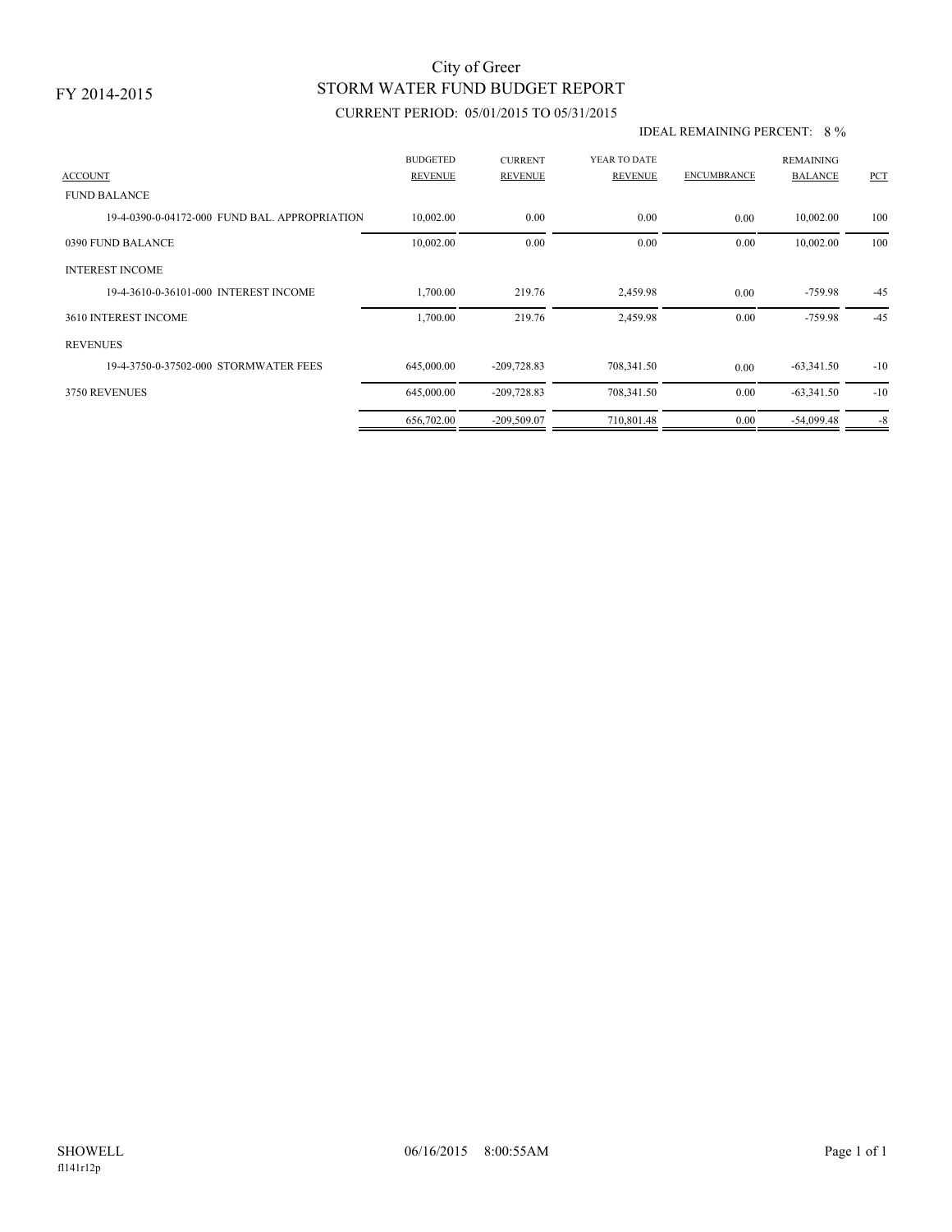## STORM WATER FUND BUDGET REPORT City of Greer

### CURRENT PERIOD: 05/01/2015 TO 05/31/2015

#### IDEAL REMAINING PERCENT: 8 %

| <b>ACCOUNT</b>                                | <b>BUDGETED</b><br><b>REVENUE</b> | <b>CURRENT</b><br><b>REVENUE</b> | YEAR TO DATE<br><b>REVENUE</b> | <b>ENCUMBRANCE</b> | <b>REMAINING</b><br><b>BALANCE</b> | PCT   |
|-----------------------------------------------|-----------------------------------|----------------------------------|--------------------------------|--------------------|------------------------------------|-------|
| <b>FUND BALANCE</b>                           |                                   |                                  |                                |                    |                                    |       |
| 19-4-0390-0-04172-000 FUND BAL, APPROPRIATION | 10,002.00                         | 0.00                             | 0.00                           | 0.00               | 10,002.00                          | 100   |
| 0390 FUND BALANCE                             | 10,002.00                         | 0.00                             | 0.00                           | 0.00               | 10,002.00                          | 100   |
| <b>INTEREST INCOME</b>                        |                                   |                                  |                                |                    |                                    |       |
| 19-4-3610-0-36101-000 INTEREST INCOME         | 1,700.00                          | 219.76                           | 2,459.98                       | 0.00               | $-759.98$                          | $-45$ |
| 3610 INTEREST INCOME                          | 1,700.00                          | 219.76                           | 2,459.98                       | 0.00               | $-759.98$                          | $-45$ |
| <b>REVENUES</b>                               |                                   |                                  |                                |                    |                                    |       |
| 19-4-3750-0-37502-000 STORMWATER FEES         | 645,000.00                        | $-209,728.83$                    | 708,341.50                     | 0.00               | $-63,341.50$                       | $-10$ |
| 3750 REVENUES                                 | 645,000.00                        | $-209,728.83$                    | 708,341.50                     | 0.00               | $-63,341.50$                       | $-10$ |
|                                               | 656,702.00                        | $-209,509.07$                    | 710,801.48                     | 0.00               | $-54,099.48$                       | $-8$  |
|                                               |                                   |                                  |                                |                    |                                    |       |